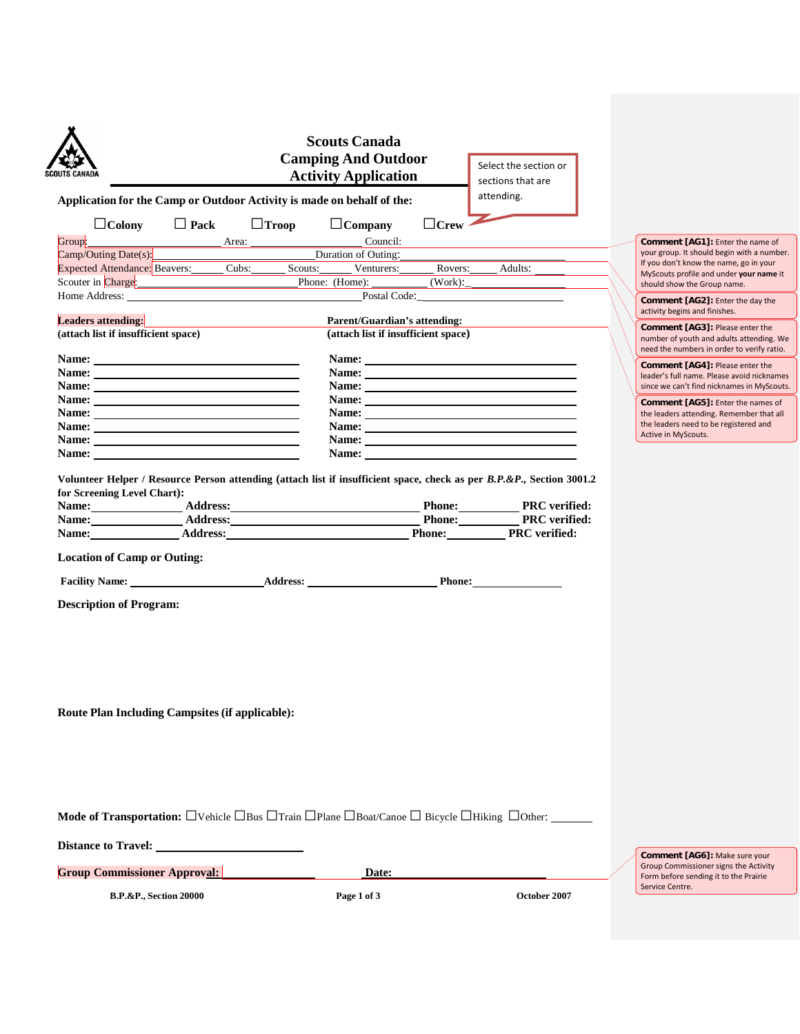| <b>SCOUTS CANADA</b>                                                                                                                                                                                                           | <b>Scouts Canada</b><br><b>Camping And Outdoor</b><br><b>Activity Application</b> | Select the section or<br>sections that are                                                                                                                                                                                                                                                                                                                                                                                                                       |  |                                                                                                                 |
|--------------------------------------------------------------------------------------------------------------------------------------------------------------------------------------------------------------------------------|-----------------------------------------------------------------------------------|------------------------------------------------------------------------------------------------------------------------------------------------------------------------------------------------------------------------------------------------------------------------------------------------------------------------------------------------------------------------------------------------------------------------------------------------------------------|--|-----------------------------------------------------------------------------------------------------------------|
| Application for the Camp or Outdoor Activity is made on behalf of the:                                                                                                                                                         |                                                                                   | attending.                                                                                                                                                                                                                                                                                                                                                                                                                                                       |  |                                                                                                                 |
| $\Box$ Pack<br>$\Box$ Colony                                                                                                                                                                                                   | $\Box$ Troop<br>$\Box$ Company                                                    | $\Box$ Crew                                                                                                                                                                                                                                                                                                                                                                                                                                                      |  |                                                                                                                 |
| Group:                                                                                                                                                                                                                         | Council:                                                                          |                                                                                                                                                                                                                                                                                                                                                                                                                                                                  |  | Comment [AG1]: Enter the name of                                                                                |
| Camp/Outing Date(s):                                                                                                                                                                                                           | Duration of Outing:                                                               |                                                                                                                                                                                                                                                                                                                                                                                                                                                                  |  | your group. It should begin with a number.<br>If you don't know the name, go in your                            |
| Expected Attendance: Beavers: Cubs: Scouts: Venturers:                                                                                                                                                                         |                                                                                   | Rovers: Adults:                                                                                                                                                                                                                                                                                                                                                                                                                                                  |  | MyScouts profile and under your name it                                                                         |
| Scouter in Charge: Charge Phone: (Home): 2014                                                                                                                                                                                  |                                                                                   | (Work):                                                                                                                                                                                                                                                                                                                                                                                                                                                          |  | should show the Group name.                                                                                     |
| Home Address: No. 1996. The Second Second Second Second Second Second Second Second Second Second Second Second Second Second Second Second Second Second Second Second Second Second Second Second Second Second Second Secon |                                                                                   | Postal Code:                                                                                                                                                                                                                                                                                                                                                                                                                                                     |  | Comment [AG2]: Enter the day the<br>activity begins and finishes.                                               |
| <b>Leaders attending:</b>                                                                                                                                                                                                      |                                                                                   | Parent/Guardian's attending:                                                                                                                                                                                                                                                                                                                                                                                                                                     |  | <b>Comment [AG3]: Please enter the</b>                                                                          |
| (attach list if insufficient space)                                                                                                                                                                                            |                                                                                   | (attach list if insufficient space)                                                                                                                                                                                                                                                                                                                                                                                                                              |  | number of youth and adults attending. We<br>need the numbers in order to verify ratio.                          |
|                                                                                                                                                                                                                                |                                                                                   |                                                                                                                                                                                                                                                                                                                                                                                                                                                                  |  | <b>Comment [AG4]: Please enter the</b>                                                                          |
| Name:                                                                                                                                                                                                                          | Name:                                                                             |                                                                                                                                                                                                                                                                                                                                                                                                                                                                  |  | leader's full name. Please avoid nicknames                                                                      |
| Name:                                                                                                                                                                                                                          |                                                                                   | Name:                                                                                                                                                                                                                                                                                                                                                                                                                                                            |  | since we can't find nicknames in MyScouts.                                                                      |
|                                                                                                                                                                                                                                |                                                                                   | Name:                                                                                                                                                                                                                                                                                                                                                                                                                                                            |  | <b>Comment [AG5]:</b> Enter the names of                                                                        |
| Name:                                                                                                                                                                                                                          |                                                                                   | Name:                                                                                                                                                                                                                                                                                                                                                                                                                                                            |  | the leaders attending. Remember that all                                                                        |
| Name:                                                                                                                                                                                                                          |                                                                                   | Name:                                                                                                                                                                                                                                                                                                                                                                                                                                                            |  | the leaders need to be registered and<br>Active in MyScouts.                                                    |
| Name: Name and the state of the state of the state of the state of the state of the state of the state of the state of the state of the state of the state of the state of the state of the state of the state of the state of |                                                                                   | Name: Name and the state of the state of the state of the state of the state of the state of the state of the state of the state of the state of the state of the state of the state of the state of the state of the state of<br>Name: Name and the state of the state of the state of the state of the state of the state of the state of the state of the state of the state of the state of the state of the state of the state of the state of the state of |  |                                                                                                                 |
| Name: Address: Address:<br><b>Location of Camp or Outing:</b>                                                                                                                                                                  |                                                                                   | Phone: PRC verified:                                                                                                                                                                                                                                                                                                                                                                                                                                             |  |                                                                                                                 |
| <b>Description of Program:</b>                                                                                                                                                                                                 |                                                                                   |                                                                                                                                                                                                                                                                                                                                                                                                                                                                  |  |                                                                                                                 |
| <b>Route Plan Including Campsites (if applicable):</b>                                                                                                                                                                         |                                                                                   |                                                                                                                                                                                                                                                                                                                                                                                                                                                                  |  |                                                                                                                 |
| <b>Mode of Transportation:</b> $\square$ Vehicle $\square$ Bus $\square$ Train $\square$ Plane $\square$ Boat/Canoe $\square$ Bicycle $\square$ Hiking $\square$ Other: ______<br>Distance to Travel:                          |                                                                                   |                                                                                                                                                                                                                                                                                                                                                                                                                                                                  |  |                                                                                                                 |
| <b>Group Commissioner Approval:</b>                                                                                                                                                                                            | Date:                                                                             |                                                                                                                                                                                                                                                                                                                                                                                                                                                                  |  | Comment [AG6]: Make sure your<br>Group Commissioner signs the Activity<br>Form before sending it to the Prairie |
| <b>B.P.&amp;P., Section 20000</b>                                                                                                                                                                                              | Page 1 of 3                                                                       | October 2007                                                                                                                                                                                                                                                                                                                                                                                                                                                     |  | Service Centre.                                                                                                 |